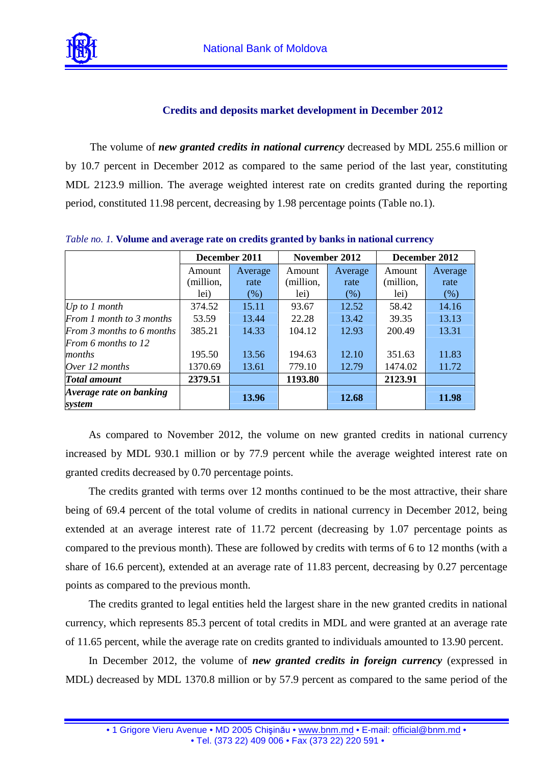

## **Credits and deposits market development in December 2012**

The volume of *new granted credits in national currency* decreased by MDL 255.6 million or by 10.7 percent in December 2012 as compared to the same period of the last year, constituting MDL 2123.9 million. The average weighted interest rate on credits granted during the reporting period, constituted 11.98 percent, decreasing by 1.98 percentage points (Table no.1).

|                                   | December 2011 |         | November 2012 |         | December 2012 |         |
|-----------------------------------|---------------|---------|---------------|---------|---------------|---------|
|                                   | Amount        | Average | Amount        | Average | Amount        | Average |
|                                   | (million,     | rate    | (million,     | rate    | (million,     | rate    |
|                                   | lei)          | (% )    | lei)          | $(\% )$ | lei)          | (% )    |
| Up to $1$ month                   | 374.52        | 15.11   | 93.67         | 12.52   | 58.42         | 14.16   |
| From 1 month to 3 months          | 53.59         | 13.44   | 22.28         | 13.42   | 39.35         | 13.13   |
| From 3 months to 6 months         | 385.21        | 14.33   | 104.12        | 12.93   | 200.49        | 13.31   |
| From 6 months to 12               |               |         |               |         |               |         |
| months                            | 195.50        | 13.56   | 194.63        | 12.10   | 351.63        | 11.83   |
| Over 12 months                    | 1370.69       | 13.61   | 779.10        | 12.79   | 1474.02       | 11.72   |
| <b>Total amount</b>               | 2379.51       |         | 1193.80       |         | 2123.91       |         |
| Average rate on banking<br>system |               | 13.96   |               | 12.68   |               | 11.98   |

*Table no. 1.* **Volume and average rate on credits granted by banks in national currency** 

As compared to November 2012, the volume on new granted credits in national currency increased by MDL 930.1 million or by 77.9 percent while the average weighted interest rate on granted credits decreased by 0.70 percentage points.

The credits granted with terms over 12 months continued to be the most attractive, their share being of 69.4 percent of the total volume of credits in national currency in December 2012, being extended at an average interest rate of 11.72 percent (decreasing by 1.07 percentage points as compared to the previous month). These are followed by credits with terms of 6 to 12 months (with a share of 16.6 percent), extended at an average rate of 11.83 percent, decreasing by 0.27 percentage points as compared to the previous month.

The credits granted to legal entities held the largest share in the new granted credits in national currency, which represents 85.3 percent of total credits in MDL and were granted at an average rate of 11.65 percent, while the average rate on credits granted to individuals amounted to 13.90 percent.

In December 2012, the volume of *new granted credits in foreign currency* (expressed in MDL) decreased by MDL 1370.8 million or by 57.9 percent as compared to the same period of the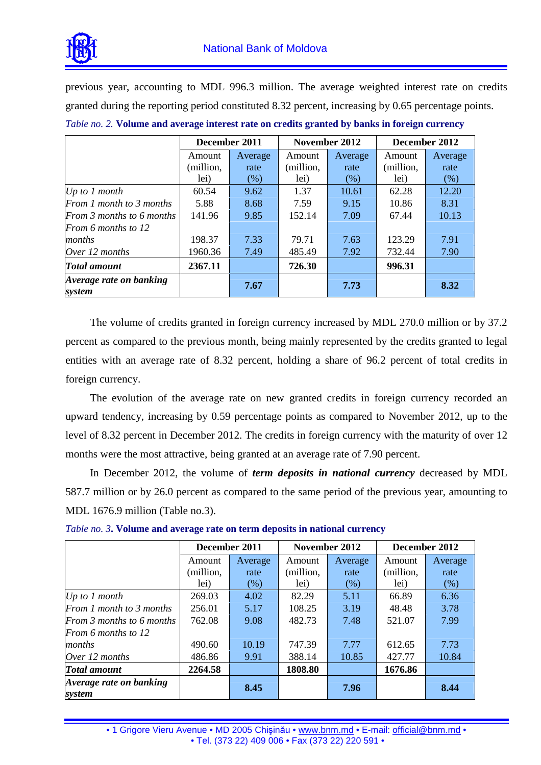

previous year, accounting to MDL 996.3 million. The average weighted interest rate on credits granted during the reporting period constituted 8.32 percent, increasing by 0.65 percentage points.

|                                   | December 2011 |         | November 2012 |         | December 2012 |         |
|-----------------------------------|---------------|---------|---------------|---------|---------------|---------|
|                                   | Amount        | Average | Amount        | Average | Amount        | Average |
|                                   | (million,     | rate    | (million,     | rate    | (million,     | rate    |
|                                   | lei)          | (% )    | lei)          | (% )    | lei)          | (% )    |
| Up to $1$ month                   | 60.54         | 9.62    | 1.37          | 10.61   | 62.28         | 12.20   |
| From 1 month to 3 months          | 5.88          | 8.68    | 7.59          | 9.15    | 10.86         | 8.31    |
| From 3 months to 6 months         | 141.96        | 9.85    | 152.14        | 7.09    | 67.44         | 10.13   |
| From 6 months to $12$             |               |         |               |         |               |         |
| months                            | 198.37        | 7.33    | 79.71         | 7.63    | 123.29        | 7.91    |
| Over 12 months                    | 1960.36       | 7.49    | 485.49        | 7.92    | 732.44        | 7.90    |
| <b>Total amount</b>               | 2367.11       |         | 726.30        |         | 996.31        |         |
| Average rate on banking<br>system |               | 7.67    |               | 7.73    |               | 8.32    |

The volume of credits granted in foreign currency increased by MDL 270.0 million or by 37.2 percent as compared to the previous month, being mainly represented by the credits granted to legal entities with an average rate of 8.32 percent, holding a share of 96.2 percent of total credits in foreign currency.

The evolution of the average rate on new granted credits in foreign currency recorded an upward tendency, increasing by 0.59 percentage points as compared to November 2012, up to the level of 8.32 percent in December 2012. The credits in foreign currency with the maturity of over 12 months were the most attractive, being granted at an average rate of 7.90 percent.

In December 2012, the volume of *term deposits in national currency* decreased by MDL 587.7 million or by 26.0 percent as compared to the same period of the previous year, amounting to MDL 1676.9 million (Table no.3).

|                                   | December 2011 |         | November 2012 |         | December 2012 |         |
|-----------------------------------|---------------|---------|---------------|---------|---------------|---------|
|                                   | Amount        | Average | Amount        | Average | Amount        | Average |
|                                   | (million,     | rate    | (million,     | rate    | (million,     | rate    |
|                                   | lei)          | (% )    | lei)          | (% )    | lei)          | (% )    |
| Up to $1$ month                   | 269.03        | 4.02    | 82.29         | 5.11    | 66.89         | 6.36    |
| From 1 month to 3 months          | 256.01        | 5.17    | 108.25        | 3.19    | 48.48         | 3.78    |
| From 3 months to 6 months         | 762.08        | 9.08    | 482.73        | 7.48    | 521.07        | 7.99    |
| From 6 months to 12               |               |         |               |         |               |         |
| months                            | 490.60        | 10.19   | 747.39        | 7.77    | 612.65        | 7.73    |
| Over 12 months                    | 486.86        | 9.91    | 388.14        | 10.85   | 427.77        | 10.84   |
| <b>Total amount</b>               | 2264.58       |         | 1808.80       |         | 1676.86       |         |
| Average rate on banking<br>system |               | 8.45    |               | 7.96    |               | 8.44    |

*Table no. 3***. Volume and average rate on term deposits in national currency**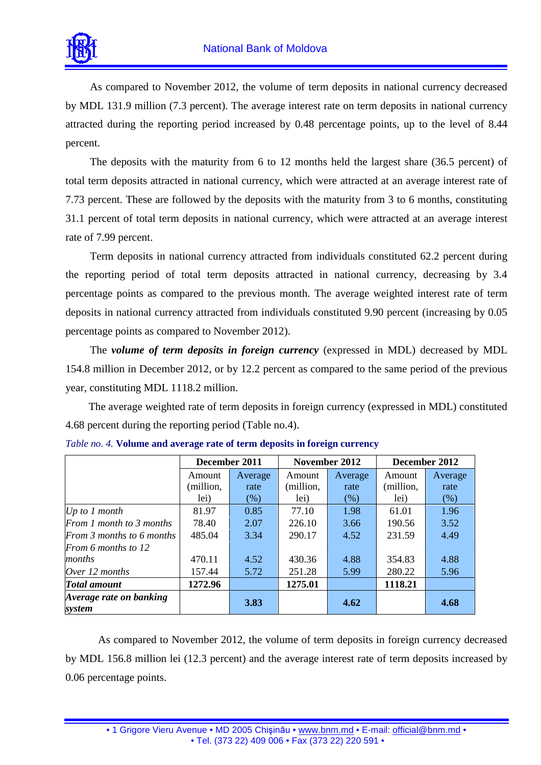

As compared to November 2012, the volume of term deposits in national currency decreased by MDL 131.9 million (7.3 percent). The average interest rate on term deposits in national currency attracted during the reporting period increased by 0.48 percentage points, up to the level of 8.44 percent.

The deposits with the maturity from 6 to 12 months held the largest share (36.5 percent) of total term deposits attracted in national currency, which were attracted at an average interest rate of 7.73 percent. These are followed by the deposits with the maturity from 3 to 6 months, constituting 31.1 percent of total term deposits in national currency, which were attracted at an average interest rate of 7.99 percent.

Term deposits in national currency attracted from individuals constituted 62.2 percent during the reporting period of total term deposits attracted in national currency, decreasing by 3.4 percentage points as compared to the previous month. The average weighted interest rate of term deposits in national currency attracted from individuals constituted 9.90 percent (increasing by 0.05 percentage points as compared to November 2012).

The *volume of term deposits in foreign currency* (expressed in MDL) decreased by MDL 154.8 million in December 2012, or by 12.2 percent as compared to the same period of the previous year, constituting MDL 1118.2 million.

The average weighted rate of term deposits in foreign currency (expressed in MDL) constituted 4.68 percent during the reporting period (Table no.4).

|                                   | December 2011 |         | November 2012 |         | December 2012 |         |
|-----------------------------------|---------------|---------|---------------|---------|---------------|---------|
|                                   | Amount        | Average | Amount        | Average | Amount        | Average |
|                                   | (million,     | rate    | (million,     | rate    | (million,     | rate    |
|                                   | lei)          | $(\%)$  | lei)          | (% )    | lei)          | (% )    |
| Up to $1$ month                   | 81.97         | 0.85    | 77.10         | 1.98    | 61.01         | 1.96    |
| From 1 month to 3 months          | 78.40         | 2.07    | 226.10        | 3.66    | 190.56        | 3.52    |
| From 3 months to 6 months         | 485.04        | 3.34    | 290.17        | 4.52    | 231.59        | 4.49    |
| From 6 months to 12               |               |         |               |         |               |         |
| months                            | 470.11        | 4.52    | 430.36        | 4.88    | 354.83        | 4.88    |
| Over 12 months                    | 157.44        | 5.72    | 251.28        | 5.99    | 280.22        | 5.96    |
| <b>Total amount</b>               | 1272.96       |         | 1275.01       |         | 1118.21       |         |
| Average rate on banking<br>system |               | 3.83    |               | 4.62    |               | 4.68    |

|  |  |  | Table no. 4. Volume and average rate of term deposits in foreign currency |  |  |
|--|--|--|---------------------------------------------------------------------------|--|--|
|--|--|--|---------------------------------------------------------------------------|--|--|

As compared to November 2012, the volume of term deposits in foreign currency decreased by MDL 156.8 million lei (12.3 percent) and the average interest rate of term deposits increased by 0.06 percentage points.